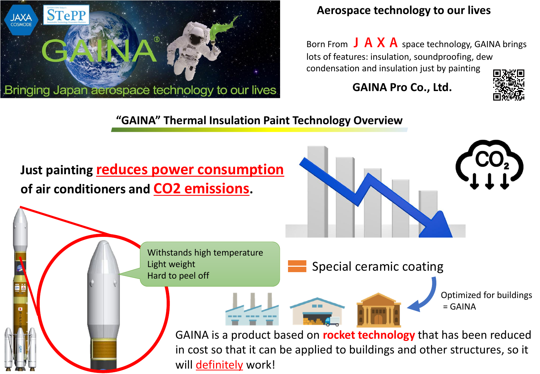

### **Aerospace technology to our lives**

Born From  $J \, A \, X \, A$  space technology, GAINA brings lots of features: insulation, soundproofing, dew condensation and insulation just by painting

**GAINA Pro Co., Ltd.**



### **"GAINA" Thermal Insulation Paint Technology Overview**

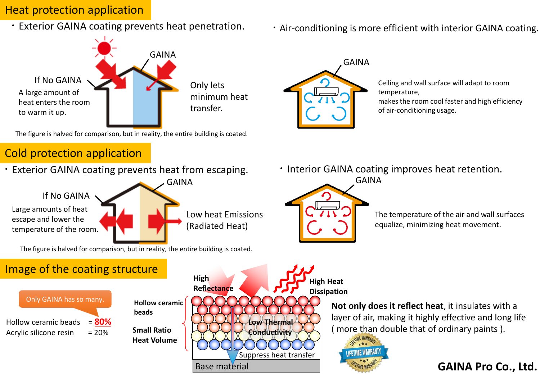### Heat protection application

・Exterior GAINA coating prevents heat penetration.



The figure is halved for comparison, but in reality, the entire building is coated.

# Cold protection application

・Exterior GAINA coating prevents heat from escaping.

If No GAINA Large amounts of heat escape and lower the temperature of the room.

Low heat Emissions (Radiated Heat)

GAINA

The figure is halved for comparison, but in reality, the entire building is coated.

# Image of the coating structure





・Air-conditioning is more efficient with interior GAINA coating.



Ceiling and wall surface will adapt to room temperature, makes the room cool faster and high efficiency of air-conditioning usage.

・Interior GAINA coating improves heat retention.



The temperature of the air and wall surfaces equalize, minimizing heat movement.

**Not only does it reflect heat**, it insulates with a layer of air, making it highly effective and long life ( more than double that of ordinary paints ).



#### **GAINA Pro Co., Ltd.**